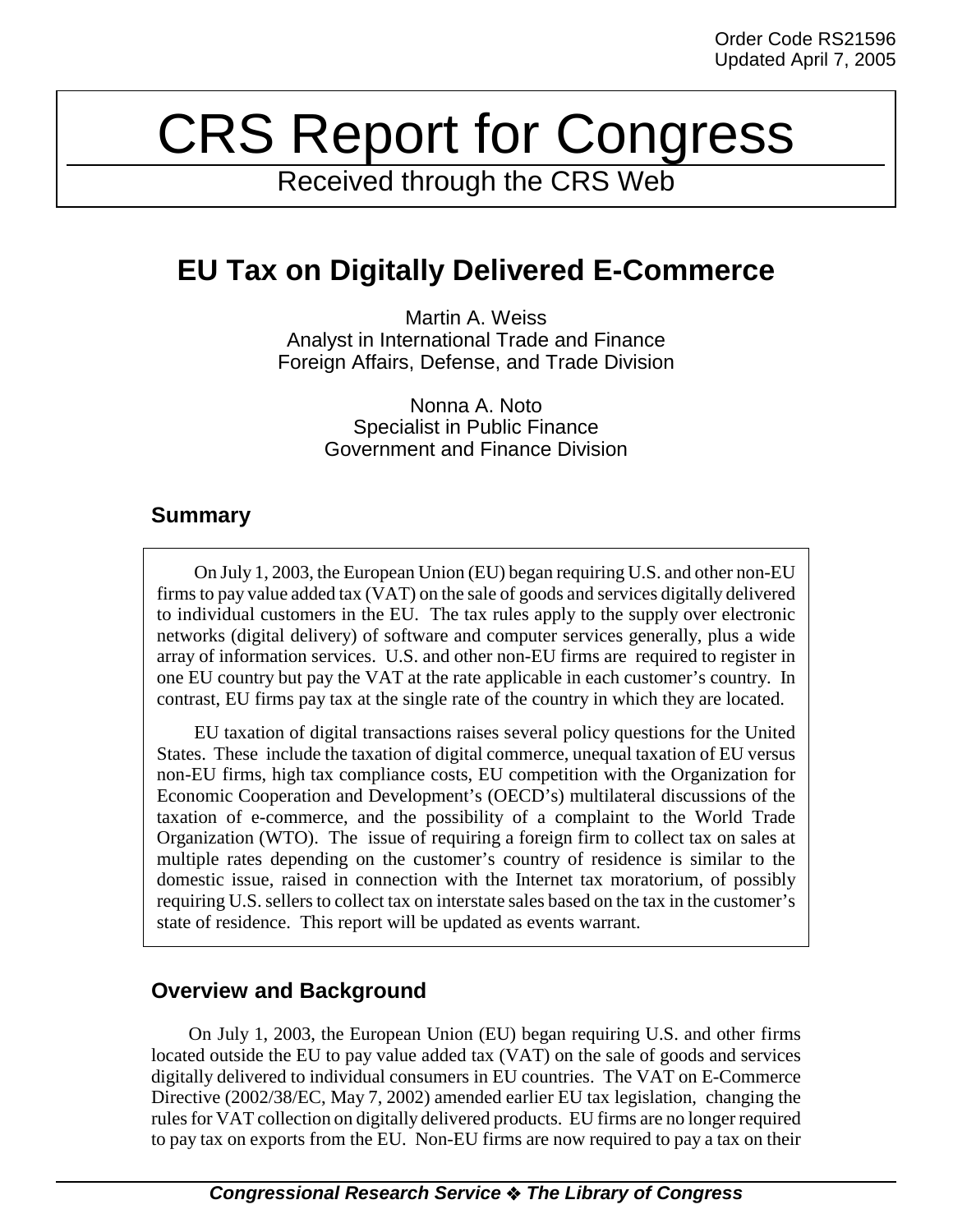# CRS Report for Congress

Received through the CRS Web

# **EU Tax on Digitally Delivered E-Commerce**

Martin A. Weiss Analyst in International Trade and Finance Foreign Affairs, Defense, and Trade Division

> Nonna A. Noto Specialist in Public Finance Government and Finance Division

### **Summary**

On July 1, 2003, the European Union (EU) began requiring U.S. and other non-EU firms to pay value added tax (VAT) on the sale of goods and services digitally delivered to individual customers in the EU. The tax rules apply to the supply over electronic networks (digital delivery) of software and computer services generally, plus a wide array of information services. U.S. and other non-EU firms are required to register in one EU country but pay the VAT at the rate applicable in each customer's country. In contrast, EU firms pay tax at the single rate of the country in which they are located.

EU taxation of digital transactions raises several policy questions for the United States. These include the taxation of digital commerce, unequal taxation of EU versus non-EU firms, high tax compliance costs, EU competition with the Organization for Economic Cooperation and Development's (OECD's) multilateral discussions of the taxation of e-commerce, and the possibility of a complaint to the World Trade Organization (WTO). The issue of requiring a foreign firm to collect tax on sales at multiple rates depending on the customer's country of residence is similar to the domestic issue, raised in connection with the Internet tax moratorium, of possibly requiring U.S. sellers to collect tax on interstate sales based on the tax in the customer's state of residence. This report will be updated as events warrant.

## **Overview and Background**

On July 1, 2003, the European Union (EU) began requiring U.S. and other firms located outside the EU to pay value added tax (VAT) on the sale of goods and services digitally delivered to individual consumers in EU countries. The VAT on E-Commerce Directive (2002/38/EC, May 7, 2002) amended earlier EU tax legislation, changing the rules for VAT collection on digitally delivered products. EU firms are no longer required to pay tax on exports from the EU. Non-EU firms are now required to pay a tax on their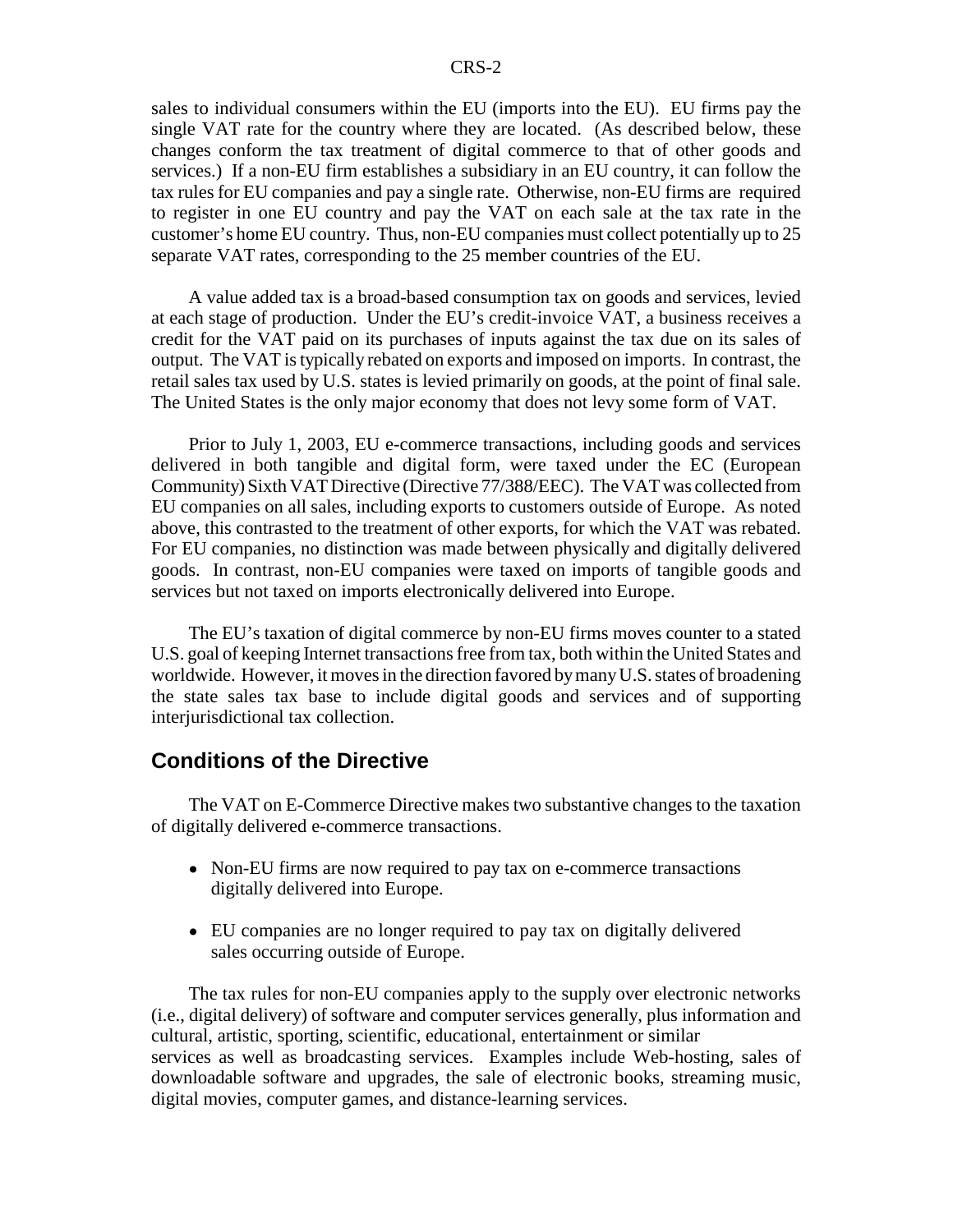sales to individual consumers within the EU (imports into the EU). EU firms pay the single VAT rate for the country where they are located. (As described below, these changes conform the tax treatment of digital commerce to that of other goods and services.) If a non-EU firm establishes a subsidiary in an EU country, it can follow the tax rules for EU companies and pay a single rate. Otherwise, non-EU firms are required to register in one EU country and pay the VAT on each sale at the tax rate in the customer's home EU country. Thus, non-EU companies must collect potentially up to 25 separate VAT rates, corresponding to the 25 member countries of the EU.

A value added tax is a broad-based consumption tax on goods and services, levied at each stage of production. Under the EU's credit-invoice VAT, a business receives a credit for the VAT paid on its purchases of inputs against the tax due on its sales of output. The VAT is typically rebated on exports and imposed on imports. In contrast, the retail sales tax used by U.S. states is levied primarily on goods, at the point of final sale. The United States is the only major economy that does not levy some form of VAT.

Prior to July 1, 2003, EU e-commerce transactions, including goods and services delivered in both tangible and digital form, were taxed under the EC (European Community) Sixth VAT Directive (Directive 77/388/EEC). The VAT was collected from EU companies on all sales, including exports to customers outside of Europe. As noted above, this contrasted to the treatment of other exports, for which the VAT was rebated. For EU companies, no distinction was made between physically and digitally delivered goods. In contrast, non-EU companies were taxed on imports of tangible goods and services but not taxed on imports electronically delivered into Europe.

The EU's taxation of digital commerce by non-EU firms moves counter to a stated U.S. goal of keeping Internet transactions free from tax, both within the United States and worldwide. However, it moves in the direction favored by many U.S. states of broadening the state sales tax base to include digital goods and services and of supporting interjurisdictional tax collection.

#### **Conditions of the Directive**

The VAT on E-Commerce Directive makes two substantive changes to the taxation of digitally delivered e-commerce transactions.

- Non-EU firms are now required to pay tax on e-commerce transactions digitally delivered into Europe.
- EU companies are no longer required to pay tax on digitally delivered sales occurring outside of Europe.

The tax rules for non-EU companies apply to the supply over electronic networks (i.e., digital delivery) of software and computer services generally, plus information and cultural, artistic, sporting, scientific, educational, entertainment or similar services as well as broadcasting services. Examples include Web-hosting, sales of downloadable software and upgrades, the sale of electronic books, streaming music, digital movies, computer games, and distance-learning services.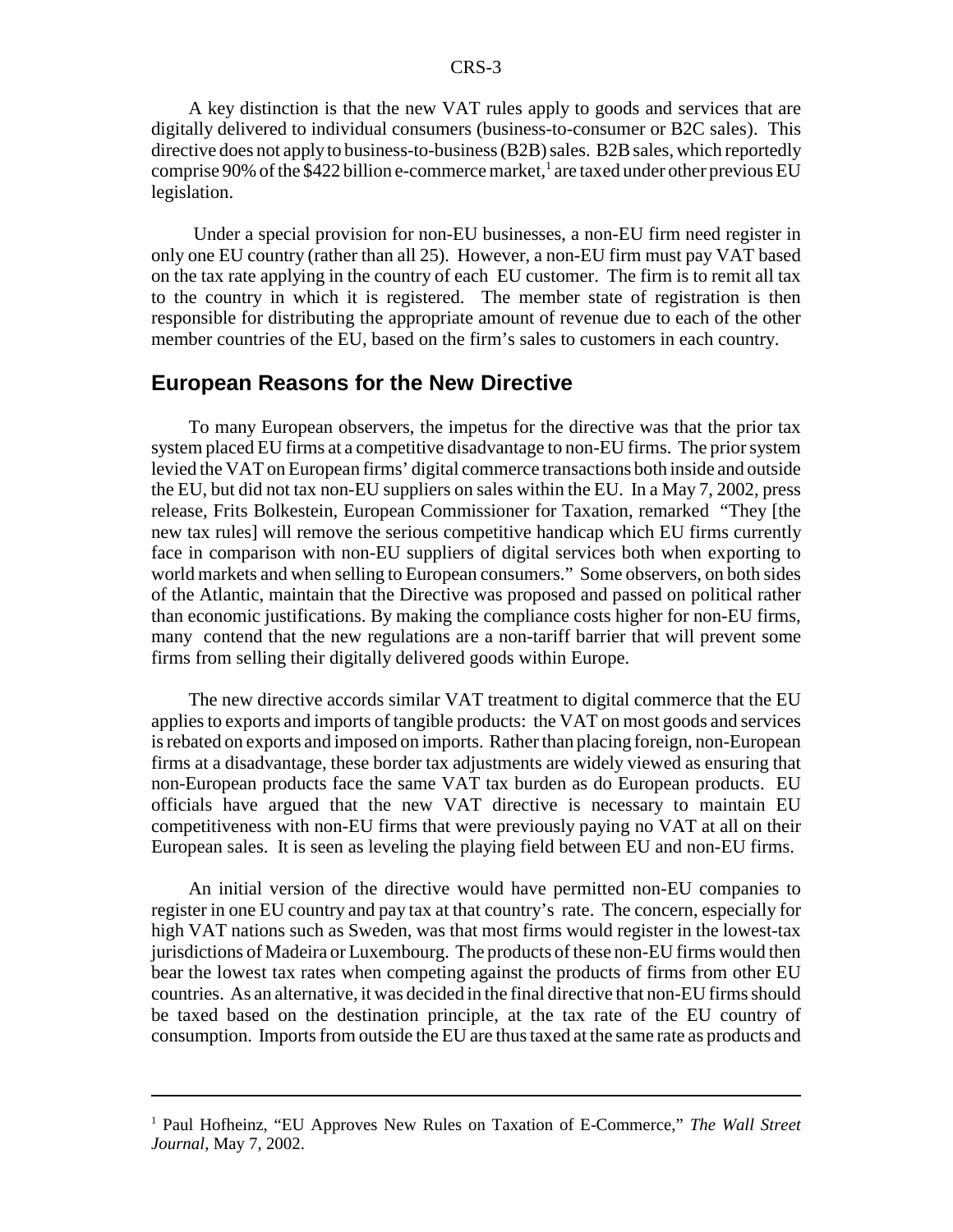A key distinction is that the new VAT rules apply to goods and services that are digitally delivered to individual consumers (business-to-consumer or B2C sales). This directive does not apply to business-to-business (B2B) sales. B2B sales, which reportedly comprise 90% of the \$422 billion e-commerce market,<sup>1</sup> are taxed under other previous EU legislation.

 Under a special provision for non-EU businesses, a non-EU firm need register in only one EU country (rather than all 25). However, a non-EU firm must pay VAT based on the tax rate applying in the country of each EU customer. The firm is to remit all tax to the country in which it is registered. The member state of registration is then responsible for distributing the appropriate amount of revenue due to each of the other member countries of the EU, based on the firm's sales to customers in each country.

#### **European Reasons for the New Directive**

To many European observers, the impetus for the directive was that the prior tax system placed EU firms at a competitive disadvantage to non-EU firms. The prior system levied the VAT on European firms' digital commerce transactions both inside and outside the EU, but did not tax non-EU suppliers on sales within the EU. In a May 7, 2002, press release, Frits Bolkestein, European Commissioner for Taxation, remarked "They [the new tax rules] will remove the serious competitive handicap which EU firms currently face in comparison with non-EU suppliers of digital services both when exporting to world markets and when selling to European consumers." Some observers, on both sides of the Atlantic, maintain that the Directive was proposed and passed on political rather than economic justifications. By making the compliance costs higher for non-EU firms, many contend that the new regulations are a non-tariff barrier that will prevent some firms from selling their digitally delivered goods within Europe.

The new directive accords similar VAT treatment to digital commerce that the EU applies to exports and imports of tangible products: the VAT on most goods and services is rebated on exports and imposed on imports. Rather than placing foreign, non-European firms at a disadvantage, these border tax adjustments are widely viewed as ensuring that non-European products face the same VAT tax burden as do European products. EU officials have argued that the new VAT directive is necessary to maintain EU competitiveness with non-EU firms that were previously paying no VAT at all on their European sales. It is seen as leveling the playing field between EU and non-EU firms.

An initial version of the directive would have permitted non-EU companies to register in one EU country and pay tax at that country's rate. The concern, especially for high VAT nations such as Sweden, was that most firms would register in the lowest-tax jurisdictions of Madeira or Luxembourg. The products of these non-EU firms would then bear the lowest tax rates when competing against the products of firms from other EU countries. As an alternative, it was decided in the final directive that non-EU firms should be taxed based on the destination principle, at the tax rate of the EU country of consumption. Imports from outside the EU are thus taxed at the same rate as products and

<sup>&</sup>lt;sup>1</sup> Paul Hofheinz, "EU Approves New Rules on Taxation of E-Commerce," The Wall Street *Journal*, May 7, 2002.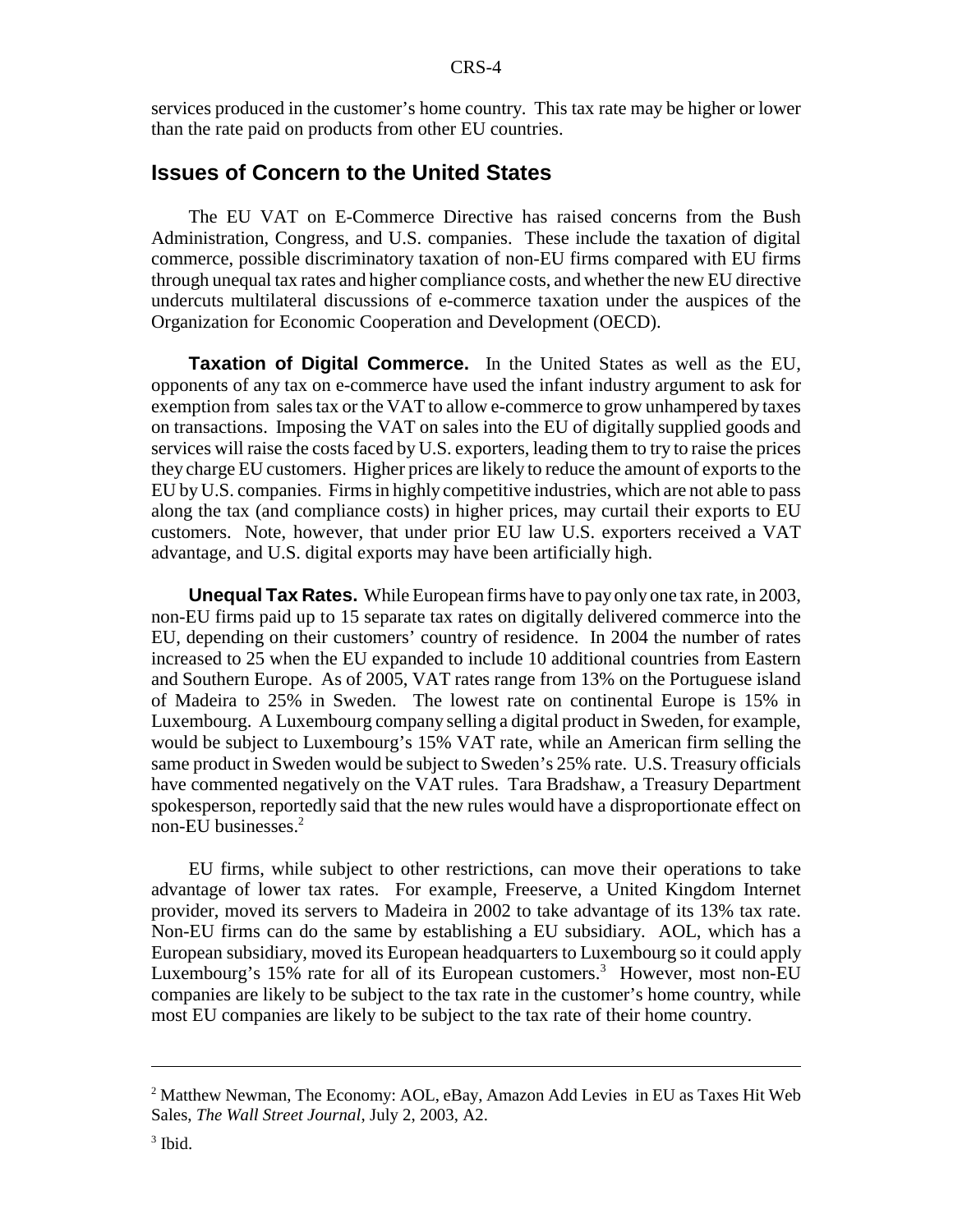services produced in the customer's home country. This tax rate may be higher or lower than the rate paid on products from other EU countries.

#### **Issues of Concern to the United States**

The EU VAT on E-Commerce Directive has raised concerns from the Bush Administration, Congress, and U.S. companies. These include the taxation of digital commerce, possible discriminatory taxation of non-EU firms compared with EU firms through unequal tax rates and higher compliance costs, and whether the new EU directive undercuts multilateral discussions of e-commerce taxation under the auspices of the Organization for Economic Cooperation and Development (OECD).

**Taxation of Digital Commerce.** In the United States as well as the EU, opponents of any tax on e-commerce have used the infant industry argument to ask for exemption from sales tax or the VAT to allow e-commerce to grow unhampered by taxes on transactions. Imposing the VAT on sales into the EU of digitally supplied goods and services will raise the costs faced by U.S. exporters, leading them to try to raise the prices they charge EU customers. Higher prices are likely to reduce the amount of exports to the EU by U.S. companies. Firms in highly competitive industries, which are not able to pass along the tax (and compliance costs) in higher prices, may curtail their exports to EU customers. Note, however, that under prior EU law U.S. exporters received a VAT advantage, and U.S. digital exports may have been artificially high.

**Unequal Tax Rates.** While European firms have to pay only one tax rate, in 2003, non-EU firms paid up to 15 separate tax rates on digitally delivered commerce into the EU, depending on their customers' country of residence. In 2004 the number of rates increased to 25 when the EU expanded to include 10 additional countries from Eastern and Southern Europe. As of 2005, VAT rates range from 13% on the Portuguese island of Madeira to 25% in Sweden. The lowest rate on continental Europe is 15% in Luxembourg. A Luxembourg company selling a digital product in Sweden, for example, would be subject to Luxembourg's 15% VAT rate, while an American firm selling the same product in Sweden would be subject to Sweden's 25% rate. U.S. Treasury officials have commented negatively on the VAT rules. Tara Bradshaw, a Treasury Department spokesperson, reportedly said that the new rules would have a disproportionate effect on non-EU businesses.2

EU firms, while subject to other restrictions, can move their operations to take advantage of lower tax rates. For example, Freeserve, a United Kingdom Internet provider, moved its servers to Madeira in 2002 to take advantage of its 13% tax rate. Non-EU firms can do the same by establishing a EU subsidiary. AOL, which has a European subsidiary, moved its European headquarters to Luxembourg so it could apply Luxembourg's 15% rate for all of its European customers.<sup>3</sup> However, most non-EU companies are likely to be subject to the tax rate in the customer's home country, while most EU companies are likely to be subject to the tax rate of their home country.

 $2^2$  Matthew Newman, The Economy: AOL, eBay, Amazon Add Levies in EU as Taxes Hit Web Sales, *The Wall Street Journal*, July 2, 2003, A2.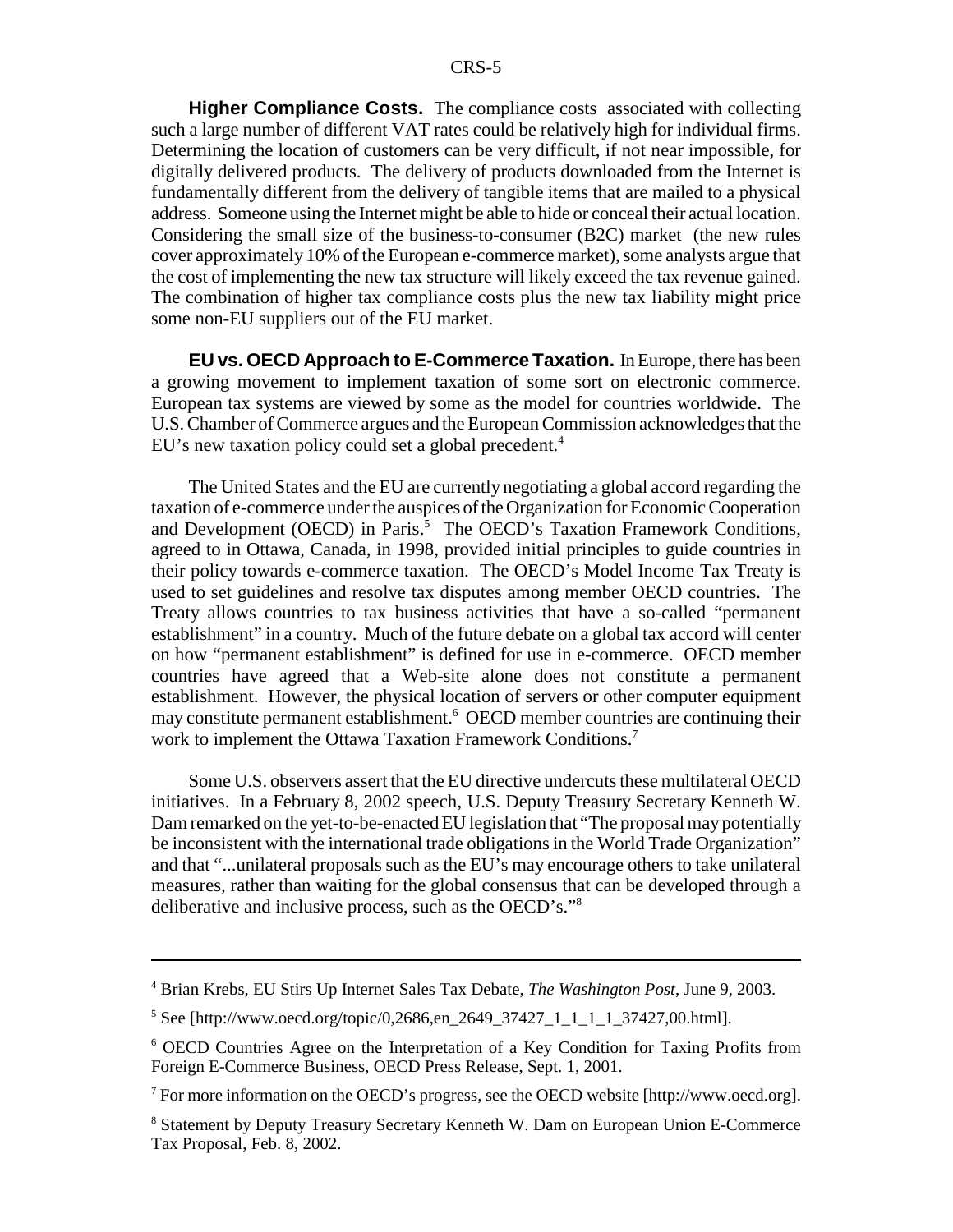**Higher Compliance Costs.** The compliance costs associated with collecting such a large number of different VAT rates could be relatively high for individual firms. Determining the location of customers can be very difficult, if not near impossible, for digitally delivered products. The delivery of products downloaded from the Internet is fundamentally different from the delivery of tangible items that are mailed to a physical address. Someone using the Internet might be able to hide or conceal their actual location. Considering the small size of the business-to-consumer (B2C) market (the new rules cover approximately 10% of the European e-commerce market), some analysts argue that the cost of implementing the new tax structure will likely exceed the tax revenue gained. The combination of higher tax compliance costs plus the new tax liability might price some non-EU suppliers out of the EU market.

**EU vs. OECD Approach to E-Commerce Taxation.** In Europe, there has been a growing movement to implement taxation of some sort on electronic commerce. European tax systems are viewed by some as the model for countries worldwide. The U.S. Chamber of Commerce argues and the European Commission acknowledges that the EU's new taxation policy could set a global precedent.<sup>4</sup>

The United States and the EU are currently negotiating a global accord regarding the taxation of e-commerce under the auspices of the Organization for Economic Cooperation and Development (OECD) in Paris.<sup>5</sup> The OECD's Taxation Framework Conditions, agreed to in Ottawa, Canada, in 1998, provided initial principles to guide countries in their policy towards e-commerce taxation. The OECD's Model Income Tax Treaty is used to set guidelines and resolve tax disputes among member OECD countries. The Treaty allows countries to tax business activities that have a so-called "permanent establishment" in a country. Much of the future debate on a global tax accord will center on how "permanent establishment" is defined for use in e-commerce. OECD member countries have agreed that a Web-site alone does not constitute a permanent establishment. However, the physical location of servers or other computer equipment may constitute permanent establishment.<sup>6</sup> OECD member countries are continuing their work to implement the Ottawa Taxation Framework Conditions.<sup>7</sup>

Some U.S. observers assert that the EU directive undercuts these multilateral OECD initiatives. In a February 8, 2002 speech, U.S. Deputy Treasury Secretary Kenneth W. Dam remarked on the yet-to-be-enacted EU legislation that "The proposal may potentially be inconsistent with the international trade obligations in the World Trade Organization" and that "...unilateral proposals such as the EU's may encourage others to take unilateral measures, rather than waiting for the global consensus that can be developed through a deliberative and inclusive process, such as the OECD's."8

<sup>4</sup> Brian Krebs, EU Stirs Up Internet Sales Tax Debate, *The Washington Post*, June 9, 2003.

<sup>&</sup>lt;sup>5</sup> See [http://www.oecd.org/topic/0,2686,en\_2649\_37427\_1\_1\_1\_1\_37427,00.html].

<sup>&</sup>lt;sup>6</sup> OECD Countries Agree on the Interpretation of a Key Condition for Taxing Profits from Foreign E-Commerce Business, OECD Press Release, Sept. 1, 2001.

<sup>&</sup>lt;sup>7</sup> For more information on the OECD's progress, see the OECD website [http://www.oecd.org].

<sup>&</sup>lt;sup>8</sup> Statement by Deputy Treasury Secretary Kenneth W. Dam on European Union E-Commerce Tax Proposal, Feb. 8, 2002.